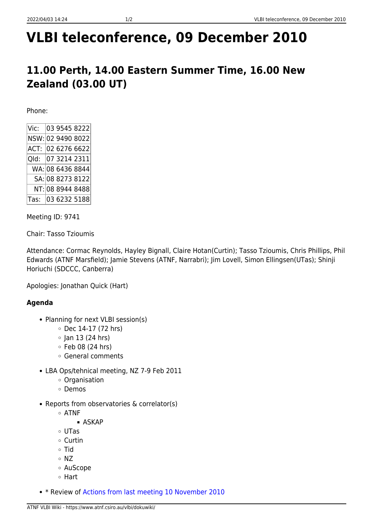# **VLBI teleconference, 09 December 2010**

## **11.00 Perth, 14.00 Eastern Summer Time, 16.00 New Zealand (03.00 UT)**

Phone:

Meeting ID: 9741

Chair: Tasso Tzioumis

Attendance: Cormac Reynolds, Hayley Bignall, Claire Hotan(Curtin); Tasso Tzioumis, Chris Phillips, Phil Edwards (ATNF Marsfield); Jamie Stevens (ATNF, Narrabri); Jim Lovell, Simon Ellingsen(UTas); Shinji Horiuchi (SDCCC, Canberra)

Apologies: Jonathan Quick (Hart)

### **Agenda**

- Planning for next VLBI session(s)
	- $\circ$  Dec 14-17 (72 hrs)
	- $\circ$  Jan 13 (24 hrs)
	- $\circ$  Feb 08 (24 hrs)
	- General comments
- LBA Ops/tehnical meeting, NZ 7-9 Feb 2011
	- Organisation
	- Demos
- Reports from observatories & correlator(s)
	- ATNF
		- **ASKAP**
	- UTas
	- Curtin
	- o Tid
	- $\circ$  NZ
	- AuScope
	- Hart
- \* Review of [Actions from last meeting 10 November 2010](https://www.atnf.csiro.au/vlbi/dokuwiki/doku.php/lbaops/telecon2010nov10)